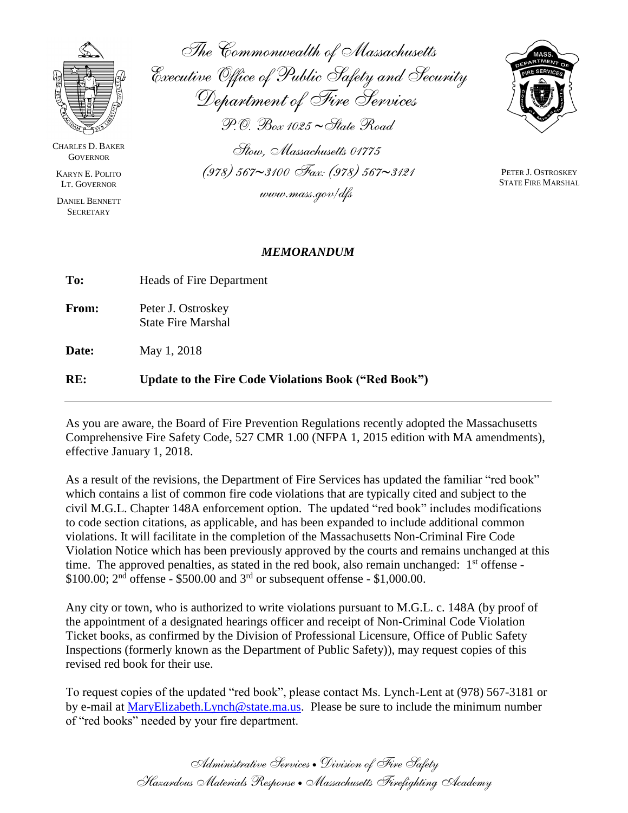

CHARLES D. BAKER **GOVERNOR** 

KARYN E. POLITO LT. GOVERNOR

DANIEL BENNETT **SECRETARY** 

*The Commonwealth of Massachusetts Executive Office of Public Safety and Security Department of Fire Services P.O. Box 1025 State Road*

*Stow, Massachusetts 01775 (978) 5673100 Fax: (978) 5673121*

*www.mass.gov/dfs*

PETER J. OSTROSKEY STATE FIRE MARSHAL

## *MEMORANDUM*

| To:          | Heads of Fire Department |
|--------------|--------------------------|
| <b>From:</b> | Peter J. Ostroskey       |

State Fire Marshal

**Date:** May 1, 2018

## **RE: Update to the Fire Code Violations Book ("Red Book")**

As you are aware, the Board of Fire Prevention Regulations recently adopted the Massachusetts Comprehensive Fire Safety Code, 527 CMR 1.00 (NFPA 1, 2015 edition with MA amendments), effective January 1, 2018.

As a result of the revisions, the Department of Fire Services has updated the familiar "red book" which contains a list of common fire code violations that are typically cited and subject to the civil M.G.L. Chapter 148A enforcement option. The updated "red book" includes modifications to code section citations, as applicable, and has been expanded to include additional common violations. It will facilitate in the completion of the Massachusetts Non-Criminal Fire Code Violation Notice which has been previously approved by the courts and remains unchanged at this time. The approved penalties, as stated in the red book, also remain unchanged: 1<sup>st</sup> offense - $$100.00; 2<sup>nd</sup>$  offense - \$500.00 and 3<sup>rd</sup> or subsequent offense - \$1,000.00.

Any city or town, who is authorized to write violations pursuant to M.G.L. c. 148A (by proof of the appointment of a designated hearings officer and receipt of Non-Criminal Code Violation Ticket books, as confirmed by the Division of Professional Licensure, Office of Public Safety Inspections (formerly known as the Department of Public Safety)), may request copies of this revised red book for their use.

To request copies of the updated "red book", please contact Ms. Lynch-Lent at (978) 567-3181 or by e-mail at [MaryElizabeth.Lynch@state.ma.us.](mailto:MaryElizabeth.Lynch@state.ma.us) Please be sure to include the minimum number of "red books" needed by your fire department.

> *Administrative Services Division of Fire Safety Hazardous Materials Response Massachusetts Firefighting Academy*